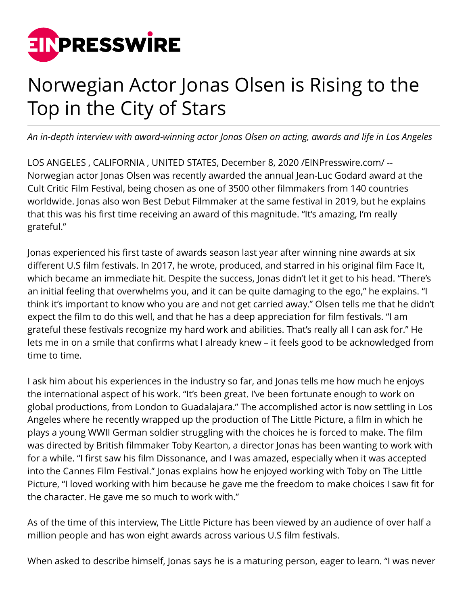

## Norwegian Actor Jonas Olsen is Rising to the Top in the City of Stars

*An in-depth interview with award-winning actor Jonas Olsen on acting, awards and life in Los Angeles*

LOS ANGELES , CALIFORNIA , UNITED STATES, December 8, 2020 /[EINPresswire.com/](http://www.einpresswire.com) -- Norwegian actor Jonas Olsen was recently awarded the annual Jean-Luc Godard award at the Cult Critic Film Festival, being chosen as one of 3500 other filmmakers from 140 countries worldwide. Jonas also won Best Debut Filmmaker at the same festival in 2019, but he explains that this was his first time receiving an award of this magnitude. "It's amazing, I'm really grateful."

Jonas experienced his first taste of awards season last year after winning nine awards at six different U.S film festivals. In 2017, he wrote, produced, and starred in his original film Face It, which became an immediate hit. Despite the success, Jonas didn't let it get to his head. "There's an initial feeling that overwhelms you, and it can be quite damaging to the ego," he explains. "I think it's important to know who you are and not get carried away." Olsen tells me that he didn't expect the film to do this well, and that he has a deep appreciation for film festivals. "I am grateful these festivals recognize my hard work and abilities. That's really all I can ask for." He lets me in on a smile that confirms what I already knew – it feels good to be acknowledged from time to time.

I ask him about his experiences in the industry so far, and Jonas tells me how much he enjoys the international aspect of his work. "It's been great. I've been fortunate enough to work on global productions, from London to Guadalajara." The accomplished actor is now settling in Los Angeles where he recently wrapped up the production of The Little Picture, a film in which he plays a young WWII German soldier struggling with the choices he is forced to make. The film was directed by British filmmaker Toby Kearton, a director Jonas has been wanting to work with for a while. "I first saw his film Dissonance, and I was amazed, especially when it was accepted into the Cannes Film Festival." Jonas explains how he enjoyed working with Toby on The Little Picture, "I loved working with him because he gave me the freedom to make choices I saw fit for the character. He gave me so much to work with."

As of the time of this interview, The Little Picture has been viewed by an audience of over half a million people and has won eight awards across various U.S film festivals.

When asked to describe himself, Jonas says he is a maturing person, eager to learn. "I was never